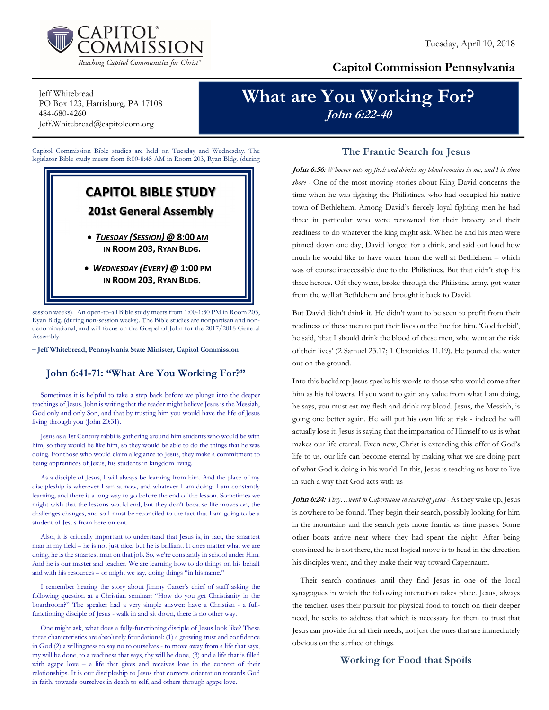

## Capitol Commission Pennsylvania

Jeff Whitebread PO Box 123, Harrisburg, PA 17108 484-680-4260 Jeff.Whitebread@capitolcom.org

# What are You Working For? John 6:22-40

Capitol Commission Bible studies are held on Tuesday and Wednesday. The legislator Bible study meets from 8:00-8:45 AM in Room 203, Ryan Bldg. (during

# CAPITOL BIBLE STUDY 201st General Assembly

 TUESDAY (SESSION) @ 8:00 AM IN ROOM 203, RYAN BLDG.

• WEDNESDAY (EVERY) @ 1:00 PM IN ROOM 203, RYAN BLDG.

session weeks). An open-to-all Bible study meets from 1:00-1:30 PM in Room 203, Ryan Bldg. (during non-session weeks). The Bible studies are nonpartisan and nondenominational, and will focus on the Gospel of John for the 2017/2018 General Assembly.

– Jeff Whitebread, Pennsylvania State Minister, Capitol Commission

### John 6:41-71: "What Are You Working For?"

Sometimes it is helpful to take a step back before we plunge into the deeper teachings of Jesus. John is writing that the reader might believe Jesus is the Messiah, God only and only Son, and that by trusting him you would have the life of Jesus living through you (John 20:31).

Jesus as a 1st Century rabbi is gathering around him students who would be with him, so they would be like him, so they would be able to do the things that he was doing. For those who would claim allegiance to Jesus, they make a commitment to being apprentices of Jesus, his students in kingdom living.

As a disciple of Jesus, I will always be learning from him. And the place of my discipleship is wherever I am at now, and whatever I am doing. I am constantly learning, and there is a long way to go before the end of the lesson. Sometimes we might wish that the lessons would end, but they don't because life moves on, the challenges changes, and so I must be reconciled to the fact that I am going to be a student of Jesus from here on out.

Also, it is critically important to understand that Jesus is, in fact, the smartest man in my field – he is not just nice, but he is brilliant. It does matter what we are doing, he is the smartest man on that job. So, we're constantly in school under Him. And he is our master and teacher. We are learning how to do things on his behalf and with his resources – or might we say, doing things "in his name."

I remember hearing the story about Jimmy Carter's chief of staff asking the following question at a Christian seminar: "How do you get Christianity in the boardroom?" The speaker had a very simple answer: have a Christian - a fullfunctioning disciple of Jesus - walk in and sit down, there is no other way.

One might ask, what does a fully-functioning disciple of Jesus look like? These three characteristics are absolutely foundational: (1) a growing trust and confidence in God (2) a willingness to say no to ourselves - to move away from a life that says, my will be done, to a readiness that says, thy will be done, (3) and a life that is filled with agape love – a life that gives and receives love in the context of their relationships. It is our discipleship to Jesus that corrects orientation towards God in faith, towards ourselves in death to self, and others through agape love.

#### The Frantic Search for Jesus

John 6:56: Whoever eats my flesh and drinks my blood remains in me, and I in them shore - One of the most moving stories about King David concerns the time when he was fighting the Philistines, who had occupied his native town of Bethlehem. Among David's fiercely loyal fighting men he had three in particular who were renowned for their bravery and their readiness to do whatever the king might ask. When he and his men were pinned down one day, David longed for a drink, and said out loud how much he would like to have water from the well at Bethlehem – which was of course inaccessible due to the Philistines. But that didn't stop his three heroes. Off they went, broke through the Philistine army, got water from the well at Bethlehem and brought it back to David.

But David didn't drink it. He didn't want to be seen to profit from their readiness of these men to put their lives on the line for him. 'God forbid', he said, 'that I should drink the blood of these men, who went at the risk of their lives' (2 Samuel 23.17; 1 Chronicles 11.19). He poured the water out on the ground.

Into this backdrop Jesus speaks his words to those who would come after him as his followers. If you want to gain any value from what I am doing, he says, you must eat my flesh and drink my blood. Jesus, the Messiah, is going one better again. He will put his own life at risk - indeed he will actually lose it. Jesus is saying that the impartation of Himself to us is what makes our life eternal. Even now, Christ is extending this offer of God's life to us, our life can become eternal by making what we are doing part of what God is doing in his world. In this, Jesus is teaching us how to live in such a way that God acts with us

John 6:24: They...went to Capernaum in search of Jesus - As they wake up, Jesus is nowhere to be found. They begin their search, possibly looking for him in the mountains and the search gets more frantic as time passes. Some other boats arrive near where they had spent the night. After being convinced he is not there, the next logical move is to head in the direction his disciples went, and they make their way toward Capernaum.

Their search continues until they find Jesus in one of the local synagogues in which the following interaction takes place. Jesus, always the teacher, uses their pursuit for physical food to touch on their deeper need, he seeks to address that which is necessary for them to trust that Jesus can provide for all their needs, not just the ones that are immediately obvious on the surface of things.

### Working for Food that Spoils